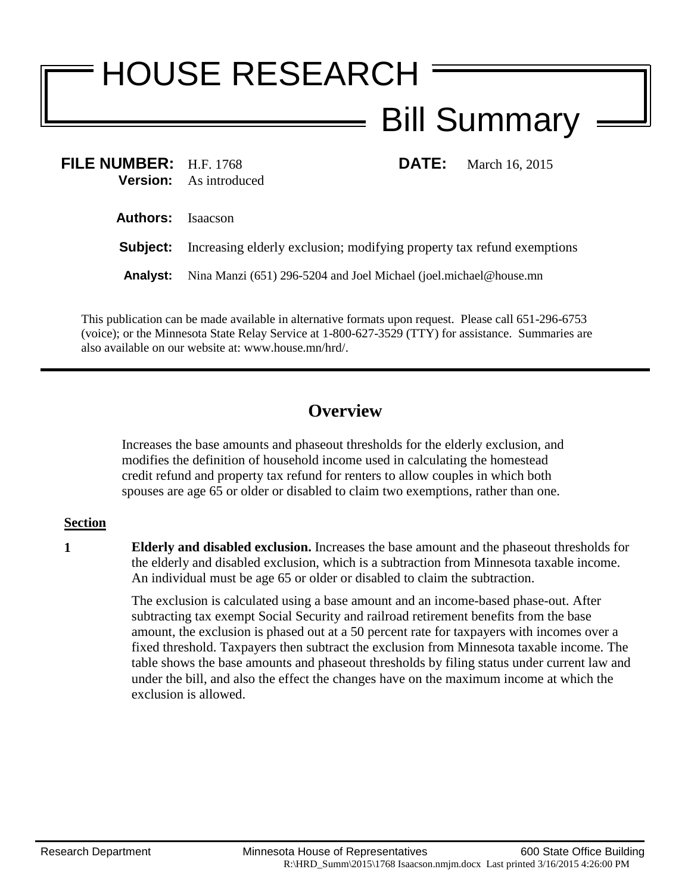# HOUSE RESEARCH Bill Summary

| FILE NUMBER: $H.F. 1768$ | <b>Version:</b> As introduced                                          | <b>DATE:</b> | March 16, 2015 |
|--------------------------|------------------------------------------------------------------------|--------------|----------------|
| <b>Authors:</b> Isaacson |                                                                        |              |                |
| Subject:                 | Increasing elderly exclusion; modifying property tax refund exemptions |              |                |
| <b>Analyst:</b>          | Nina Manzi (651) 296-5204 and Joel Michael (joel.michael@house.mn      |              |                |

This publication can be made available in alternative formats upon request. Please call 651-296-6753 (voice); or the Minnesota State Relay Service at 1-800-627-3529 (TTY) for assistance. Summaries are also available on our website at: www.house.mn/hrd/.

# **Overview**

Increases the base amounts and phaseout thresholds for the elderly exclusion, and modifies the definition of household income used in calculating the homestead credit refund and property tax refund for renters to allow couples in which both spouses are age 65 or older or disabled to claim two exemptions, rather than one.

## **Section**

**1 Elderly and disabled exclusion.** Increases the base amount and the phaseout thresholds for the elderly and disabled exclusion, which is a subtraction from Minnesota taxable income. An individual must be age 65 or older or disabled to claim the subtraction.

> The exclusion is calculated using a base amount and an income-based phase-out. After subtracting tax exempt Social Security and railroad retirement benefits from the base amount, the exclusion is phased out at a 50 percent rate for taxpayers with incomes over a fixed threshold. Taxpayers then subtract the exclusion from Minnesota taxable income. The table shows the base amounts and phaseout thresholds by filing status under current law and under the bill, and also the effect the changes have on the maximum income at which the exclusion is allowed.